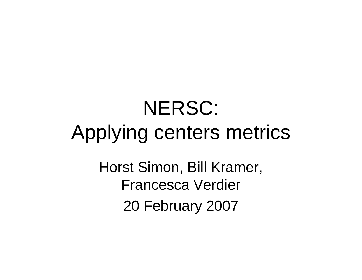# NERSC: Applying centers metrics

Horst Simon, Bill Kramer, Francesca Verdier 20 February 2007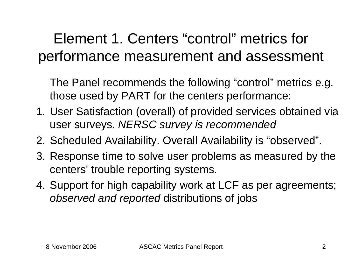## Element 1. Centers "control" metrics for performance measurement and assessment

The Panel recommends the following "control" metrics e.g. those used by PART for the centers performance:

- 1. User Satisfaction (overall) of provided services obtained via user surveys. *NERSC survey is recommended*
- 2. Scheduled Availability. Overall Availability is "observed".
- 3. Response time to solve user problems as measured by the centers' trouble reporting systems.
- 4. Support for high capability work at LCF as per agreements; *observed and reported* distributions of jobs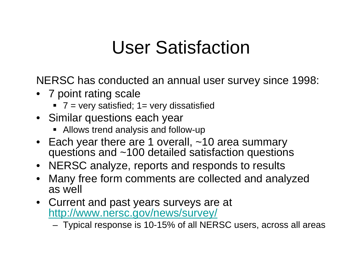## User Satisfaction

NERSC has conducted an annual user survey since 1998:

- 7 point rating scale
	- 7 = very satisfied; 1= very dissatisfied
- Similar questions each year
	- Allows trend analysis and follow-up
- Each year there are 1 overall, ~10 area summary questions and ~100 detailed satisfaction questions
- NERSC analyze, reports and responds to results
- • Many free form comments are collected and analyzed as well
- Current and past years surveys are at http://www.nersc.gov/news/survey/

Typical response is 10-15% of all NERSC users, across all areas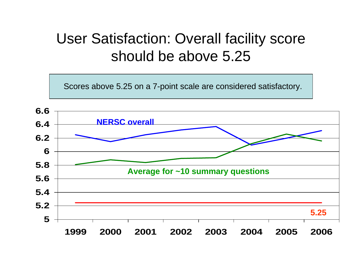#### User Satisfaction: Overall facility score should be above 5.25

Scores above 5.25 on a 7-point scale are considered satisfactory.

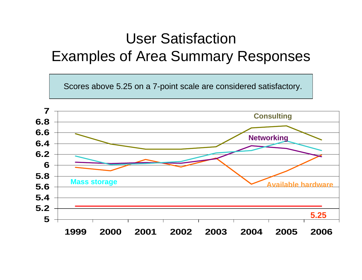### User Satisfaction Examples of Area Summary Responses

Scores above 5.25 on a 7-point scale are considered satisfactory.

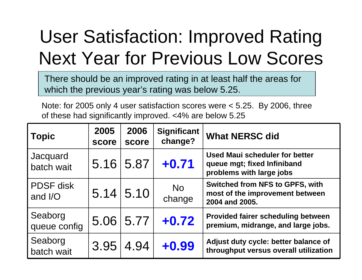# User Satisfaction: Improved Rating Next Year for Previous Low Scores

There should be an improved rating in at least half the areas for which the previous year's rating was below 5.25.

Note: for 2005 only 4 user satisfaction scores were < 5.25. By 2006, three of these had significantly improved. <4% are below 5.25

| <b>Topic</b>                | 2005<br>score | 2006<br>score    | <b>Significant</b><br>change? | <b>What NERSC did</b>                                                                            |
|-----------------------------|---------------|------------------|-------------------------------|--------------------------------------------------------------------------------------------------|
| Jacquard<br>batch wait      |               | 5.16 5.87        | $+0.71$                       | <b>Used Maui scheduler for better</b><br>queue mgt; fixed Infiniband<br>problems with large jobs |
| <b>PDSF</b> disk<br>and I/O |               | $5.14 \mid 5.10$ | <b>No</b><br>change           | <b>Switched from NFS to GPFS, with</b><br>most of the improvement between<br>2004 and 2005.      |
| Seaborg<br>queue config     |               | 5.06 5.77        | $+0.72$                       | <b>Provided fairer scheduling between</b><br>premium, midrange, and large jobs.                  |
| Seaborg<br>batch wait       | 3.95          | 4.94             | $+0.99$                       | Adjust duty cycle: better balance of<br>throughput versus overall utilization                    |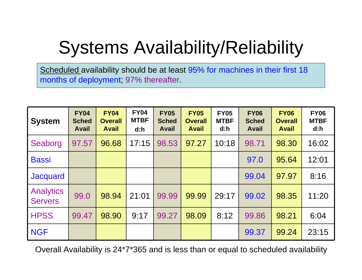# Systems Availability/Reliability

Scheduled availability should be at least 95% for machines in their first 18 months of deployment; 97% thereafter.

| <b>System</b>                      | <b>FY04</b><br><b>Sched</b><br><b>Avail</b> | <b>FY04</b><br><b>Overall</b><br><b>Avail</b> | <b>FY04</b><br><b>MTBF</b><br>d:h | <b>FY05</b><br><b>Sched</b><br><b>Avail</b> | <b>FY05</b><br><b>Overall</b><br><b>Avail</b> | <b>FY05</b><br><b>MTBF</b><br>d:h | <b>FY06</b><br><b>Sched</b><br><b>Avail</b> | <b>FY06</b><br><b>Overall</b><br><b>Avail</b> | <b>FY06</b><br><b>MTBF</b><br>d:h |
|------------------------------------|---------------------------------------------|-----------------------------------------------|-----------------------------------|---------------------------------------------|-----------------------------------------------|-----------------------------------|---------------------------------------------|-----------------------------------------------|-----------------------------------|
| Seaborg                            | 97.57                                       | 96.68                                         | 17:15                             | 98.53                                       | 97.27                                         | 10:18                             | 98.71                                       | 98.30                                         | 16:02                             |
| <b>Bassi</b>                       |                                             |                                               |                                   |                                             |                                               |                                   | 97.0                                        | 95.64                                         | 12:01                             |
| <b>Jacquard</b>                    |                                             |                                               |                                   |                                             |                                               |                                   | 99.04                                       | 97.97                                         | 8:16                              |
| <b>Analytics</b><br><b>Servers</b> | 99.0                                        | 98.94                                         | 21:01                             | 99.99                                       | 99.99                                         | 29:17                             | 99.02                                       | 98.35                                         | 11:20                             |
| <b>HPSS</b>                        | 99.47                                       | 98.90                                         | 9:17                              | 99.27                                       | 98.09                                         | 8:12                              | 99.86                                       | 98.21                                         | 6:04                              |
| <b>NGF</b>                         |                                             |                                               |                                   |                                             |                                               |                                   | 99.37                                       | 99.24                                         | 23:15                             |

Overall Availability is 24\*7\*365 and is less than or equal to scheduled availability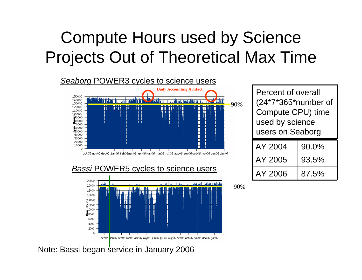## Compute Hours used by Science Projects Out of Theoretical Max Time



#### **Bassi POWER5 cycles to science users**



 $AY 2004$  90.0%  $AY 2005$  93.5%  $AY 2006$  87.5% Percent of overall (24\*7\*365\*number of Compute CPU) time used by science users on Seaborg

90%

Note: Bassi began service in January 2006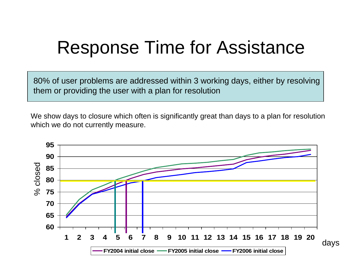## Response Time for Assistance

80% of user problems are addressed within 3 working days, either by resolving them or providing the user with a plan for resolution

We show days to closure which often is significantly great than days to a plan for resolution which we do not currently measure.

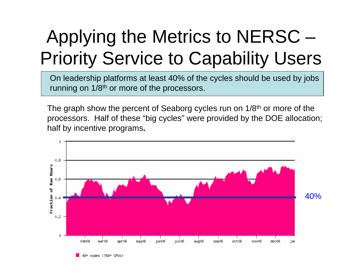# Applying the Metrics to NERSC – Priority Service to Capability Users

On leadership platforms at least 40% of the cycles should be used by jobs running on 1/8<sup>th</sup> or more of the processors.

The graph show the percent of Seaborg cycles run on 1/8<sup>th</sup> or more of the processors. Half of these "big cycles" were provided by the DOE allocation; half by incentive programs**.**

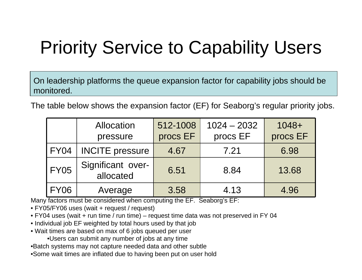# Priority Service to Capability Users

On leadership platforms the queue expansion factor for capability jobs should be monitored.

The table below shows the expansion factor (EF) for Seaborg's regular priority jobs.

|             | Allocation<br>pressure         | 512-1008<br>procs EF | $1024 - 2032$<br>procs EF | $1048+$<br>procs EF |
|-------------|--------------------------------|----------------------|---------------------------|---------------------|
| <b>FY04</b> | <b>INCITE</b> pressure         | 4.67                 | 7.21                      | 6.98                |
| <b>FY05</b> | Significant over-<br>allocated | 6.51                 | 8.84                      | 13.68               |
| <b>FY06</b> | Average                        | 3.58                 | 4.13                      | 4.96                |

Many factors must be considered when computing the EF. Seaborg's EF:

- FY05/FY06 uses (wait + request / request)
- FY04 uses (wait + run time / run time) request time data was not preserved in FY 04
- Individual job EF weighted by total hours used by that job
- Wait times are based on max of 6 jobs queued per user
	- •Users can submit any number of jobs at any time
- •Batch systems may not capture needed data and other subtle
- •Some wait times are inflated due to having been put on user hold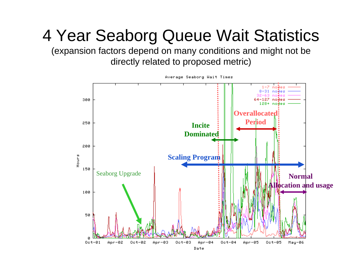## 4 Year Seaborg Queue Wait Statistics

(expansion factors depend on many conditions and might not be directly related to proposed metric)